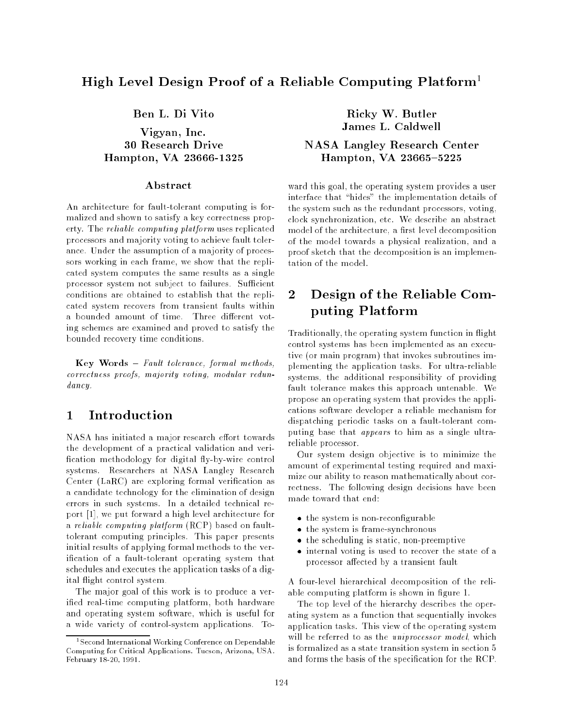# High Level Design Proof of a Reliable Computing Platform<sup>1</sup>

Ben L. Di Vito

Vigyan, Inc. 30 Research Drive Hampton, VA 23666-1325

## Abstract

An architecture for fault-tolerant computing is formalized and shown to satisfy a key correctness property. The reliable computing platform uses replicated processors and majority voting to achieve fault tolerance. Under the assumption of a majority of processors working in each frame, we show that the replicated system computes the same results as a single processor system not subject to failures. Sufficient conditions are obtained to establish that the replicated system recovers from transient faults within a bounded amount of time. Three different voting schemes are examined and proved to satisfy the bounded recovery time conditions.

Key Words { Fault tolerance, formal methods, correctness proofs, majority voting, modular redundancy.

#### $\mathbf 1$ **Introduction**

NASA has initiated a major research effort towards the development of a practical validation and veri fication methodology for digital fly-by-wire control systems. Researchers at NASA Langley Research Center (LaRC) are exploring formal verification as a candidate technology for the elimination of design errors in such systems. In a detailed technical report [1], we put forward a high level architecture for a reliable computing platform (RCP) based on faulttolerant computing principles. This paper presents initial results of applying formal methods to the verification of a fault-tolerant operating system that schedules and executes the application tasks of a digital 
ight control system.

The major goal of this work is to produce a veried real-time computing platform, both hardware and operating system software, which is useful for a wide variety of control-system applications. To-

Ricky W. Butler James L. Caldwell

# NASA Langley Research Center Hampton, VA 23665-5225

ward this goal, the operating system provides a user interface that "hides" the implementation details of the system such as the redundant processors, voting, clock synchronization, etc. We describe an abstract model of the architecture, a first level decomposition of the model towards a physical realization, and a proof sketch that the decomposition is an implemen-

### $\overline{2}$ Design of the Reliable Computing Platform

Traditionally, the operating system function in flight control systems has been implemented as an executive (or main program) that invokes subroutines implementing the application tasks. For ultra-reliable systems, the additional responsibility of providing fault tolerance makes this approach untenable. We propose an operating system that provides the applications software developer a reliable mechanism for dispatching periodic tasks on a fault-tolerant computing base that appears to him as a single ultrareliable processor.

Our system design objective is to minimize the amount of experimental testing required and maximize our ability to reason mathematically about correctness. The following design decisions have been made toward that end:

- the system is not not see the system in the second second second second second second second second second second second second second second second second second second second second second second second second second sec
- the system is framed in the system is framed in the system of  $\mathcal{L}_1$
- the scheduling is static, non-preemptive
- internal voting is used to recover the state of a processor affected by a transient fault

A four-level hierarchical decomposition of the reliable computing platform is shown in figure 1.

The top level of the hierarchy describes the operating system as a function that sequentially invokes application tasks. This view of the operating system will be referred to as the *uniprocessor model*, which is formalized as a state transition system in section 5 and forms the basis of the specication for the RCP.

<sup>1</sup> Second International Working Conference on Dependable Computing for Critical Applications. Tucson, Arizona, USA. February 18-20, 1991.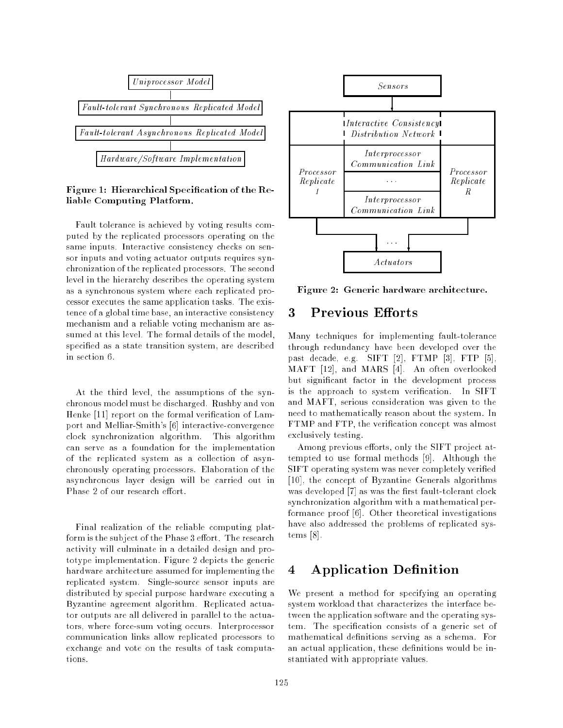

Figure 1: Hierarchical Specication of the Reliable Computing Platform.

Fault tolerance is achieved by voting results computed by the replicated processors operating on the same inputs. Interactive consistency checks on sensor inputs and voting actuator outputs requires synchronization of the replicated processors. The second level in the hierarchy describes the operating system as a synchronous system where each replicated processor executes the same application tasks. The existence of a global time base, an interactive consistency mechanism and a reliable voting mechanism are assumed at this level. The formal details of the model, specied as a state transition system, are described in section 6.

At the third level, the assumptions of the synchronous model must be discharged. Rushby and von Henke [11] report on the formal verification of Lamport and Melliar-Smith's [6] interactive-convergence clock synchronization algorithm. This algorithm can serve as a foundation for the implementation of the replicated system as a collection of asynchronously operating processors. Elaboration of the asynchronous layer design will be carried out in Phase 2 of our research effort.

Final realization of the reliable computing platform is the subject of the Phase 3 effort. The research activity will culminate in a detailed design and prototype implementation. Figure 2 depicts the generic hardware architecture assumed for implementing the replicated system. Single-source sensor inputs are distributed by special purpose hardware executing a Byzantine agreement algorithm. Replicated actuator outputs are all delivered in parallel to the actuators, where force-sum voting occurs. Interprocessor communication links allow replicated processors to exchange and vote on the results of task computations.



Figure 2: Generic hardware architecture.

#### 3 Previous Efforts

Many techniques for implementing fault-tolerance through redundancy have been developed over the past decade, e.g. SIFT [2], FTMP [3], FTP [5], MAFT [12], and MARS [4]. An often overlooked but signicant factor in the development process is the approach to system verification. In SIFT and MAFT, serious consideration was given to the need to mathematically reason about the system. In FTMP and FTP, the verication concept was almost exclusively testing.

Among previous efforts, only the SIFT project attempted to use formal methods [9]. Although the SIFT operating system was never completely veried [10], the concept of Byzantine Generals algorithms was developed [7] as was the first fault-tolerant clock synchronization algorithm with a mathematical performance proof [6]. Other theoretical investigations have also addressed the problems of replicated systems [8].

#### **Application Definition** 4

We present a method for specifying an operating system workload that characterizes the interface between the application software and the operating system. The specification consists of a generic set of mathematical definitions serving as a schema. For an actual application, these definitions would be instantiated with appropriate values.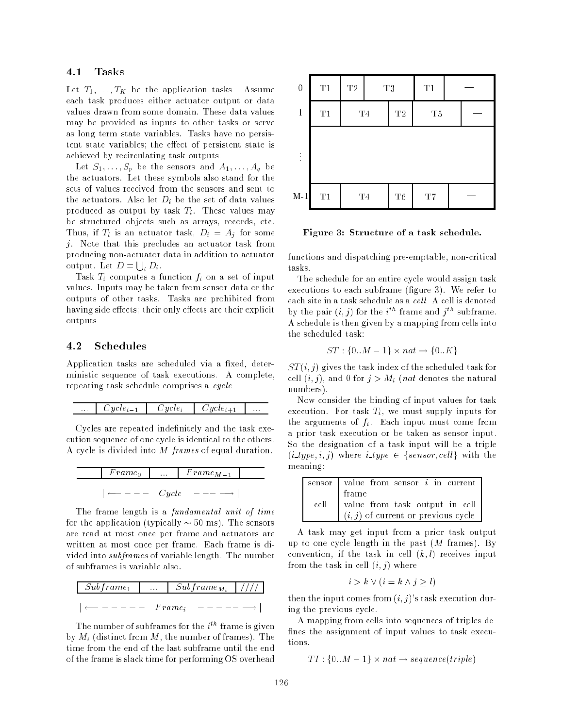# 4.1 Tasks

Let  $T_1, \ldots, T_K$  be the application tasks. Assume each task produces either actuator output or data values drawn from some domain. These data values may be provided as inputs to other tasks or serve as long term state variables. Tasks have no persistent state variables; the effect of persistent state is achieved by recirculating task outputs.

Let  $S_1, \ldots, S_p$  be the sensors and  $A_1, \ldots, A_q$  be the actuators. Let these symbols also stand for the sets of values received from the sensors and sent to the actuators. Also let  $D_i$  be the set of data values produced as output by task  $T_i$ . These values may be structured objects such as arrays, records, etc. Thus, if  $T_i$  is an actuator task,  $D_i = A_j$  for some j. Note that this precludes an actuator task from producing non-actuator data in addition to actuator output. Let  $D = \bigcup_i D_i$ .

Task  $T_i$  computes a function  $f_i$  on a set of input values. Inputs may be taken from sensor data or the outputs of other tasks. Tasks are prohibited from having side effects; their only effects are their explicit outputs.

### 4.2 Schedules

Application tasks are scheduled via a fixed, deterministic sequence of task executions. A complete, repeating task schedule comprises a cycle.

| $Cycle_{i+1}$<br>.<br>$\sim$ $\sim$<br>- - 9 - 0 - 0 -<br>- 90000 |
|-------------------------------------------------------------------|
|-------------------------------------------------------------------|

Cycles are repeated indefinitely and the task execution sequence of one cycle is identical to the others. A cycle is divided into M frames of equal duration.



The frame length is a fundamental unit of time for the application (typically  $\sim$  50 ms). The sensors are read at most once per frame and actuators are written at most once per frame. Each frame is divided into subframes of variable length. The number of subframes is variable also.



The number of subframes for the  $i^{th}$  frame is given by  $M_i$  (distinct from M, the number of frames). The time from the end of the last subframe until the end of the frame is slack time for performing OS overhead

| $\overline{0}$ | $\rm T1$ | $\rm{T}2$           |               | $\rm{T3}$     | $\rm T1$  |  |  |
|----------------|----------|---------------------|---------------|---------------|-----------|--|--|
| $\mathbf{1}$   | $\rm T1$ | $\operatorname{T4}$ |               | $\mathbf{T}2$ | $\rm{T}5$ |  |  |
|                |          |                     |               |               |           |  |  |
|                |          |                     |               |               |           |  |  |
| $M-1$          | T1       |                     | $\mathrm{T}4$ | $\rm{T6}$     | $\rm{T}7$ |  |  |

Figure 3: Structure of a task schedule.

functions and dispatching pre-emptable, non-critical tasks.

The schedule for an entire cycle would assign task executions to each subframe (figure 3). We refer to each site in a task schedule as a *cell*. A cell is denoted by the pair  $(i, j)$  for the  $i^{tn}$  frame and  $j^{tn}$  subframe. A schedule is then given by a mapping from cells into the scheduled task:

$$
ST: \{0..M-1\} \times nat \rightarrow \{0..K\}
$$

 $ST(i,j)$  gives the task index of the scheduled task for cell  $(i, j)$ , and 0 for  $j > M_i$  (nat denotes the natural numbers).

Now consider the binding of input values for task execution. For task  $T_i$ , we must supply inputs for the arguments of  $f_i$ . Each input must come from a prior task execution or be taken as sensor input. So the designation of a task input will be a triple  $(i_type, i, j)$  where  $i_type \in {sensor, cell}$  with the meaning:

|      | sensor   value from sensor $i$ in current |
|------|-------------------------------------------|
|      | frame                                     |
| cell | value from task output in cell            |
|      | $(i, j)$ of current or previous cycle     |

A task may get input from a prior task output up to one cycle length in the past  $(M \text{ frames})$ . By convention, if the task in cell  $(k,l)$  receives input from the task in cell  $(i, j)$  where

$$
i > k \vee (i = k \wedge j \geq l)
$$

then the input comes from  $(i, j)$ 's task execution during the previous cycle.

A mapping from cells into sequences of triples de fines the assignment of input values to task executions.

$$
TI: \{0..M-1\} \times nat \rightarrow sequence(triple)
$$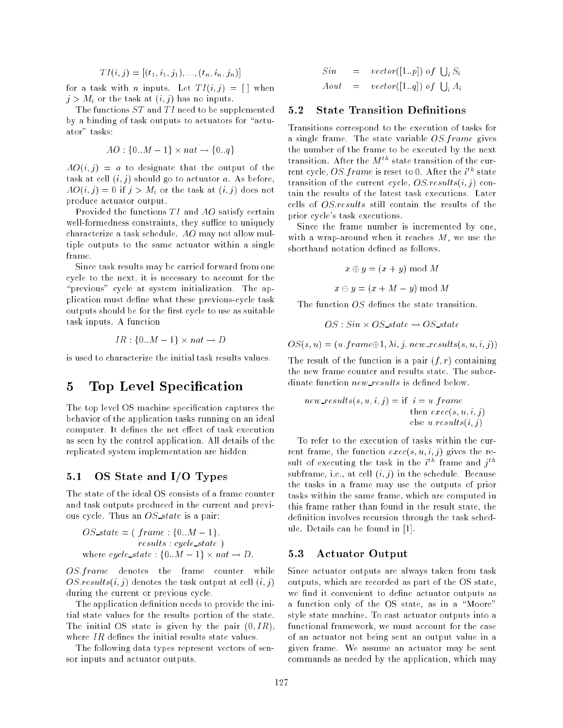$$
TI(i,j) = [(t_1, i_1, j_1), ..., (t_n, i_n, j_n)]
$$

for a task with *n* inputs. Let  $TI(i, j) = []$  when  $j > M_i$  or the task at  $(i, j)$  has no inputs.

The functions  $ST$  and  $TI$  need to be supplemented by a binding of task outputs to actuators for "actuator" tasks:

$$
AO: \{0..M-1\} \times nat \rightarrow \{0..q\}
$$

 $AO(i, j) = a$  to designate that the output of the task at cell  $(i, j)$  should go to actuator a. As before,  $AO(i, j) = 0$  if  $j > M<sub>i</sub>$  or the task at  $(i, j)$  does not produce actuator output.

Provided the functions  $TI$  and  $AO$  satisfy certain well-formedness constraints, they suffice to uniquely characterize a task schedule. AO may not allow multiple outputs to the same actuator within a single frame.

Since task results may be carried forward from one cycle to the next, it is necessary to account for the "previous" cycle at system initialization. The application must define what these previous-cycle task outputs should be for the first cycle to use as suitable task inputs. A function

$$
IR: \{0..M-1\} \times nat \rightarrow D
$$

is used to characterize the initial task results values.

#### $\overline{5}$ Top Level Specification

The top level OS machine specification captures the behavior of the application tasks running on an ideal computer. It defines the net effect of task execution as seen by the control application. All details of the replicated system implementation are hidden.

# 5.1 OS State and I/O Types

The state of the ideal OS consists of a frame counter and task outputs produced in the current and previous cycle. Thus an OS state is a pair:

$$
OS\_state = (frame : \{0..M-1\},
$$
  

$$
results : cycle\_state )
$$
  
where cycle\\_state :  $\{0..M-1\} \times nat \rightarrow D$ .

 $OS-frame$  denotes the frame counter while OS results $(i, j)$  denotes the task output at cell  $(i, j)$ during the current or previous cycle.

The application definition needs to provide the initial state values for the results portion of the state. The initial OS state is given by the pair  $(0, IR)$ , where  $IR$  defines the initial results state values.

The following data types represent vectors of sensor inputs and actuator outputs.

$$
Sin = vector([1..p]) of \bigcup_i S_i
$$
  
 
$$
Aout = vector([1..q]) of \bigcup_i A_i
$$

# 5.2 State Transition Definitions

Transitions correspond to the execution of tasks for a single frame. The state variable  $OS$  frame gives the number of the frame to be executed by the next transition. After the  $M^{th}$  state transition of the current cycle,  $OS-frame$  is reset to 0. After the  $i^{th}$  state transition of the current cycle,  $OS:results(i, j)$  contain the results of the latest task executions. Later cells of  $OS$  results still contain the results of the prior cycle's task executions.

Since the frame number is incremented by one, with a wrap-around when it reaches  $M$ , we use the shorthand notation defined as follows.

$$
x \oplus y = (x + y) \mod M
$$
  

$$
x \ominus y = (x + M - y) \mod M
$$

The function OS defines the state transition.

 $OS: Sin \times OS\_state \rightarrow OS\_state$ 

 $OS(s, u) = (u \cdot frame \oplus 1, \lambda i, j \cdot new\_results(s, u, i, j))$ 

The result of the function is a pair  $(f, r)$  containing the new frame counter and results state. The subordinate function  $\emph{new}$  results is defined below.

$$
new\_results(s, u, i, j) = \text{if } i = u \text{.frame}
$$
  
then 
$$
exec(s, u, i, j)
$$
  
else 
$$
u \text{.results}(i, j)
$$

To refer to the execution of tasks within the current frame, the function  $exec(s, u, i, j)$  gives the result of executing the task in the  $i^{tn}$  frame and  $j^{tn}$ subframe, i.e., at cell  $(i, j)$  in the schedule. Because the tasks in a frame may use the outputs of prior tasks within the same frame, which are computed in this frame rather than found in the result state, the definition involves recursion through the task schedule. Details can be found in [1].

# 5.3 Actuator Output

Since actuator outputs are always taken from task outputs, which are recorded as part of the OS state, we find it convenient to define actuator outputs as a function only of the OS state, as in a "Moore" style state machine. To cast actuator outputs into a functional framework, we must account for the case of an actuator not being sent an output value in a given frame. We assume an actuator may be sent commands as needed by the application, which may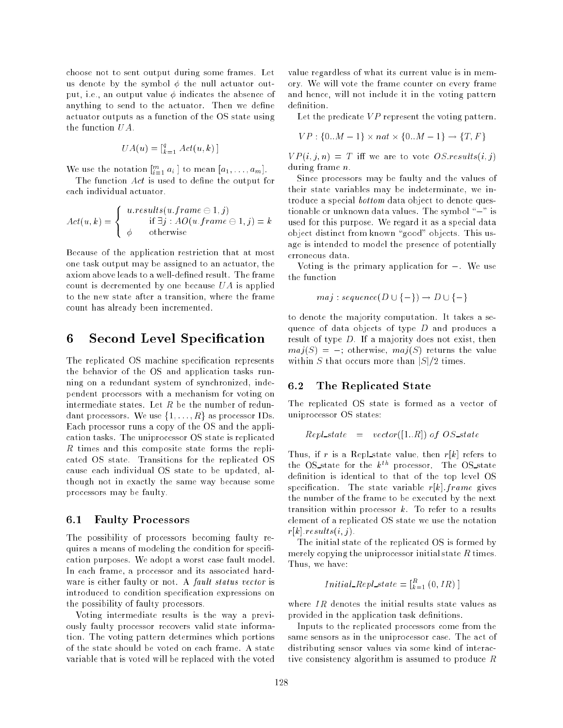choose not to sent output during some frames. Let us denote by the symbol  $\phi$  the null actuator output, i.e., an output value  $\phi$  indicates the absence of anything to send to the actuator. Then we define actuator outputs as a function of the OS state using the function UA.

$$
UA(u) = \left[\begin{smallmatrix} q \\ k=1 \end{smallmatrix} Act(u, k) \right]
$$

We use the notation  $\left[\sum_{i=1}^{n} a_i\right]$  to mean  $\left[a_1,\ldots,a_m\right]$ .

The function Act is used to define the output for each individual actuator.

$$
Act(u,k) = \begin{cases} u.results(uframe \ominus 1, j) \\ \text{if } \exists j : AO(uframe \ominus 1, j) = k \\ \phi \\ \text{otherwise} \end{cases}
$$

Because of the application restriction that at most one task output may be assigned to an actuator, the axiom above leads to a well-defined result. The frame count is decremented by one because  $UA$  is applied to the new state after a transition, where the frame count has already been incremented.

# 6 Second Level Specification

The replicated OS machine specification represents the behavior of the OS and application tasks running on a redundant system of synchronized, independent processors with a mechanism for voting on intermediate states. Let  $R$  be the number of redundant processors. We use  $\{1, \ldots, R\}$  as processor IDs. Each processor runs a copy of the OS and the application tasks. The uniprocessor OS state is replicated R times and this composite state forms the replicated OS state. Transitions for the replicated OS cause each individual OS state to be updated, although not in exactly the same way because some processors may be faulty.

### 6.1 Faulty Processors

The possibility of processors becoming faulty requires a means of modeling the condition for specification purposes. We adopt a worst case fault model. In each frame, a processor and its associated hardware is either faulty or not. A *fault status vector* is introduced to condition specification expressions on the possibility of faulty processors.

Voting intermediate results is the way a previously faulty processor recovers valid state information. The voting pattern determines which portions of the state should be voted on each frame. A state variable that is voted will be replaced with the voted

value regardless of what its current value is in memory. We will vote the frame counter on every frame and hence, will not include it in the voting pattern definition.

Let the predicate  $VP$  represent the voting pattern.

$$
VP: \{0..M-1\} \times nat \times \{0..M-1\} \to \{T, F\}
$$

 $VP(i, j, n) = T$  iff we are to vote  $OS:results(i, j)$ during frame n.

Since processors may be faulty and the values of their state variables may be indeterminate, we introduce a special bottom data object to denote questionable or unknown data values. The symbol " $-$ " is used for this purpose. We regard it as a special data object distinct from known "good" objects. This usage is intended to model the presence of potentially erroneous data.

Voting is the primary application for  $-$ . We use the function

$$
maj: sequence(D \cup \{-\}) \to D \cup \{-\}
$$

to denote the majority computation. It takes a sequence of data objects of type  $D$  and produces a result of type D. If a majority does not exist, then  $maj(S) = -;$  otherwise,  $maj(S)$  returns the value within S that occurs more than  $|S|/2$  times.

# 6.2 The Replicated State

The replicated OS state is formed as a vector of uniprocessor OS states:

$$
Repl\_state = vector([1..R]) of OS\_state
$$

Thus, if r is a Repl\_state value, then  $r[k]$  refers to the OS state for the  $k^{th}$  processor. The OS state definition is identical to that of the top level OS specification. The state variable  $r[k]$  frame gives the number of the frame to be executed by the next transition within processor  $k$ . To refer to a results element of a replicated OS state we use the notation  $r[k]$ : results $(i, j)$ .

The initial state of the replicated OS is formed by merely copying the uniprocessor initial state  $R$  times. Thus, we have:

$$
Initial\_Repl\_state = \left[\begin{matrix} R \\ k=1 \end{matrix}\right] (0, IR)
$$

where IR denotes the initial results state values as provided in the application task definitions.

Inputs to the replicated processors come from the same sensors as in the uniprocessor case. The act of distributing sensor values via some kind of interactive consistency algorithm is assumed to produce R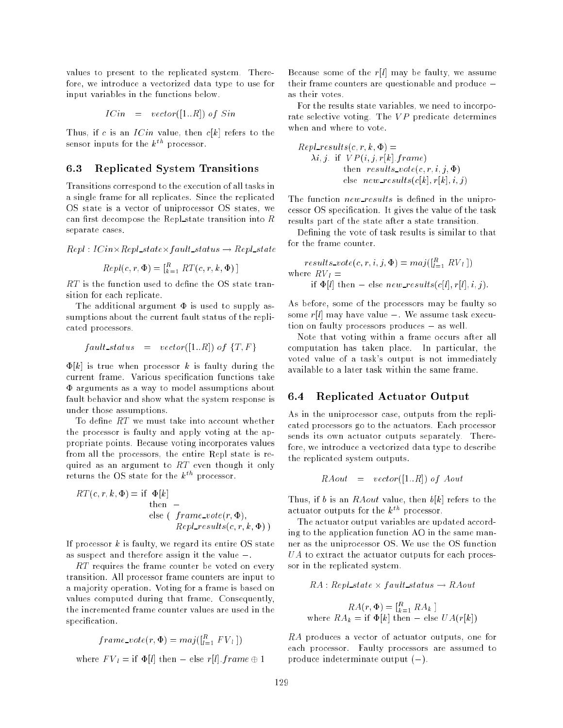values to present to the replicated system. Therefore, we introduce a vectorized data type to use for input variables in the functions below.

$$
ICin = vector([1..R]) of Sin
$$

Thus, if c is an  $ICin$  value, then  $c[k]$  refers to the sensor inputs for the  $k^{th}$  processor.

#### 6.3 6.3 Replicated System Transitions

Transitions correspond to the execution of all tasks in a single frame for all replicates. Since the replicated OS state is a vector of uniprocessor OS states, we can first decompose the Repl state transition into  $R$ separate cases.

 $Repl: ICin\times Repl\_state\times fault\_status\rightarrow Repl\_state$ 

$$
Repl(c, r, \Phi) = \left[\frac{R}{k-1}RT(c, r, k, \Phi)\right]
$$

 $RT$  is the function used to define the OS state transition for each replicate.

The additional argument  $\Phi$  is used to supply assumptions about the current fault status of the replicated processors.

$$
fault\_status = vector([1..R]) \text{ of } \{T, F\}
$$

 $\Phi[k]$  is true when processor k is faulty during the current frame. Various specification functions take arguments as a way to model assumptions about fault behavior and show what the system response is under those assumptions.

To define  $RT$  we must take into account whether the processor is faulty and apply voting at the appropriate points. Because voting incorporates values from all the processors, the entire Repl state is required as an argument to RT even though it only returns the OS state for the  $k^{th}$  processor.

$$
RT(c, r, k, \Phi) = \text{ if } \Phi[k]
$$
  
then  $-$   
else  $(\text{ frame\_vote}(r, \Phi), \text{Rep\_results}(c, r, k, \Phi))$ 

If processor  $k$  is faulty, we regard its entire OS state as suspect and therefore assign it the value  $-$ .

RT requires the frame counter be voted on every transition. All processor frame counters are input to a majority operation. Voting for a frame is based on values computed during that frame. Consequently, the incremented frame counter values are used in the specification.

$$
frame\_vote(r, \Phi) = maj([\substack{R \\ l=1} FV_l])
$$

where  $F{V}_l = \text{if } \Phi[l]$  then  $-$  else  $r[l].frame \oplus 1$ 

Because some of the  $r[l]$  may be faulty, we assume their frame counters are questionable and produce  $$ as their votes.

For the results state variables, we need to incorporate selective voting. The  $VP$  predicate determines when and where to vote.

 $Repl\_results(c, r, k, \Phi) =$  $\lambda i$ , *i*: if  $VP(i, j, r[k]$ . frame) then  $results\_vote(c, r, i, j, \Phi)$ else  $new\_results(c[k], r[k], i, j)$ 

The function new results is defined in the uniprocessor OS specication. It gives the value of the task results part of the state after a state transition.

Defining the vote of task results is similar to that for the frame counter.

$$
results\_vote(c,r,i,j,\Phi) = maj([\substack{R\\ll_{l=1}} RV_{l}])
$$
  
where  $RV_{l} =$   
if  $\Phi[l]$  then  $-$  else  $new\_results(c[l], r[l], i, j)$ .

As before, some of the processors may be faulty so some  $r[l]$  may have value  $-$ . We assume task execution on faulty processors produces  $-$  as well.

Note that voting within a frame occurs after all computation has taken place. In particular, the voted value of a task's output is not immediately available to a later task within the same frame.

## 6.4 Replicated Actuator Output

As in the uniprocessor case, outputs from the replicated processors go to the actuators. Each processor sends its own actuator outputs separately. Therefore, we introduce a vectorized data type to describe the replicated system outputs.

$$
RAout = vector([1..R]) of Aout
$$

Thus, if b is an RAout value, then  $b[k]$  refers to the actuator outputs for the  $k^{th}$  processor.

The actuator output variables are updated according to the application function AO in the same manner as the uniprocessor OS. We use the OS function  $UA$  to extract the actuator outputs for each processor in the replicated system.

 $RA: Repl\_state \times fault\_status \rightarrow RAout$ 

$$
RA(r, \Phi) = \begin{bmatrix} R & 0 \\ k=1 \end{bmatrix} RA_k
$$
\nwhere  $RA_k$  = if  $\Phi[k]$  then – else  $UA(r[k])$ 

RA produces a vector of actuator outputs, one for each processor. Faulty processors are assumed to produce indeterminate output  $(-)$ .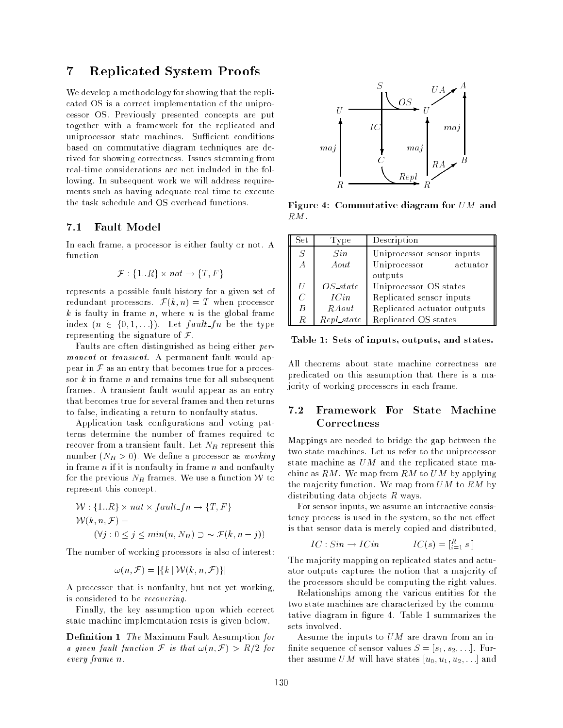#### $\overline{7}$ 7 Replicated System Proofs

We develop a methodology for showing that the replicated OS is a correct implementation of the uniprocessor OS. Previously presented concepts are put together with a framework for the replicated and uniprocessor state machines. Sufficient conditions based on commutative diagram techniques are derived for showing correctness. Issues stemming from real-time considerations are not included in the following. In subsequent work we will address requirements such as having adequate real time to execute the task schedule and OS overhead functions.

#### $7.1$ Fault Model

In each frame, a processor is either faulty or not. A function

$$
\mathcal{F}: \{1..R\} \times nat \rightarrow \{T, F\}
$$

represents a possible fault history for a given set of redundant processors.  $\mathcal{F}(k,n) = T$  when processor  $k$  is faulty in frame  $n$ , where  $n$  is the global frame index  $(n \in \{0, 1, \ldots\})$ . Let fault fn be the type representing the signature of  $\mathcal F$ .

Faults are often distinguished as being either permanent or transient. A permanent fault would appear in  $\mathcal F$  as an entry that becomes true for a processor  $k$  in frame  $n$  and remains true for all subsequent frames. A transient fault would appear as an entry that becomes true for several frames and then returns to false, indicating a return to nonfaulty status.

Application task congurations and voting patterns determine the number of frames required to recover from a transient fault. Let  $N_R$  represent this number  $(N_R > 0)$ . We define a processor as working in frame  $n$  if it is nonfaulty in frame  $n$  and nonfaulty for the previous  $N_R$  frames. We use a function  $W$  to represent this concept.

$$
\mathcal{W}: \{1..R\} \times nat \times fault\_fn \rightarrow \{T, F\}
$$
  

$$
\mathcal{W}(k, n, \mathcal{F}) =
$$
  

$$
(\forall j: 0 \le j \le min(n, N_R) \supset \sim \mathcal{F}(k, n - j))
$$

The number of working processors is also of interest:

$$
\omega(n, \mathcal{F}) = |\{k \mid \mathcal{W}(k, n, \mathcal{F})\}|
$$

A processor that is nonfaulty, but not yet working, is considered to be recovering.

Finally, the key assumption upon which correct state machine implementation rests is given below.

Denition 1 The Maximum Fault Assumption for a given fault function F is that  $\omega(n, \mathcal{F}) > R/2$  for every frame n.



Figure 4: Commutative diagram for  $UM$  and RM.

| Set              | Type          | Description                 |
|------------------|---------------|-----------------------------|
| S                | Sin           | Uniprocessor sensor inputs  |
| А                | Aout          | Uniprocessor<br>actuator    |
|                  |               | outputs                     |
| $\boldsymbol{U}$ | $OS\_state$   | Uniprocessor OS states      |
| C                | ICin          | Replicated sensor inputs    |
| $\overline{B}$   | <i>R</i> Aout | Replicated actuator outputs |
| R.               | Repl_state    | Replicated OS states        |

Table 1: Sets of inputs, outputs, and states.

All theorems about state machine correctness are predicated on this assumption that there is a majority of working processors in each frame.

# 7.2 Framework For State Machine Correctness

Mappings are needed to bridge the gap between the two state machines. Let us refer to the uniprocessor state machine as  $UM$  and the replicated state machine as  $RM$  . We map from  $RM$  to  $UM$  by applying the majority function. We map from  $UM$  to  $RM$  by distributing data objects R ways.

For sensor inputs, we assume an interactive consistency process is used in the system, so the net effect is that sensor data is merely copied and distributed.

$$
IC: Sin \rightarrow ICin
$$
  $IC(s) = \begin{bmatrix} R \\ i=1 \end{bmatrix} s$ 

The majority mapping on replicated states and actuator outputs captures the notion that a majority of the processors should be computing the right values.

Relationships among the various entities for the two state machines are characterized by the commutative diagram in figure 4. Table 1 summarizes the sets involved.

Assume the inputs to UM are drawn from an in finite sequence of sensor values  $S = [s_1, s_2, \ldots]$ . Further assume UM will have states  $[u_0, u_1, u_2, \ldots]$  and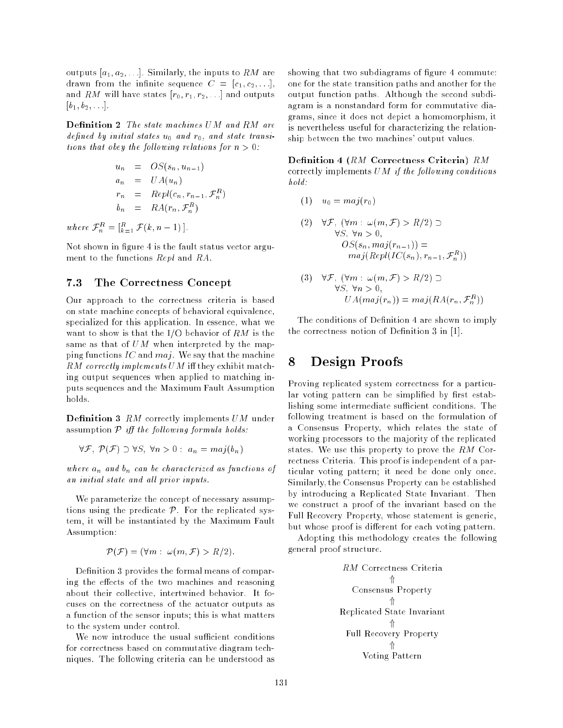outputs  $[a_1, a_2, \ldots]$ . Similarly, the inputs to RM are drawn from the infinite sequence  $C = [c_1, c_2, \ldots]$ . and RM will have states  $[r_0, r_1, r_2, \ldots]$  and outputs  $[b_1, b_2, \ldots].$ 

**Definition 2** The state machines UM and RM are defined by initial states  $u_0$  and  $r_0$ , and state transitions that obey the following relations for  $n > 0$ :

$$
u_n = OS(s_n, u_{n-1})
$$
  
\n
$$
a_n = UA(u_n)
$$
  
\n
$$
r_n = Repl(c_n, r_{n-1}, \mathcal{F}_n^R)
$$
  
\n
$$
b_n = RA(r_n, \mathcal{F}_n^R)
$$

where  $\mathcal{F}_n^R = \begin{bmatrix} R \\ k=1 \end{bmatrix} \mathcal{F}(k, n-1)$ .

Not shown in figure 4 is the fault status vector argument to the functions Repl and RA.

#### $7.3$ The Correctness Concept

Our approach to the correctness criteria is based on state machine concepts of behavioral equivalence, specialized for this application. In essence, what we want to show is that the I/O behavior of  $RM$  is the same as that of  $UM$  when interpreted by the mapping functions  $IC$  and  $maj$ . We say that the machine RM correctly implements UM iff they exhibit matching output sequences when applied to matching inputs sequences and the Maximum Fault Assumption holds.

**Definition 3** RM correctly implements  $UM$  under assumption  $P$  iff the following formula holds:

$$
\forall \mathcal{F}, \ \mathcal{P}(\mathcal{F}) \supset \forall S, \ \forall n > 0 : a_n = maj(b_n)
$$

where  $a_n$  and  $b_n$  can be characterized as functions of an initial state and all prior inputs.

We parameterize the concept of necessary assumptions using the predicate  $P$ . For the replicated system, it will be instantiated by the Maximum Fault Assumption:

$$
\mathcal{P}(\mathcal{F}) = (\forall m : \omega(m, \mathcal{F}) > R/2).
$$

Definition 3 provides the formal means of comparing the effects of the two machines and reasoning about their collective, intertwined behavior. It focuses on the correctness of the actuator outputs as a function of the sensor inputs; this is what matters to the system under control.

We now introduce the usual sufficient conditions for correctness based on commutative diagram techniques. The following criteria can be understood as showing that two subdiagrams of figure 4 commute: one for the state transition paths and another for the output function paths. Although the second subdiagram is a nonstandard form for commutative diagrams, since it does not depict a homomorphism, it is nevertheless useful for characterizing the relationship between the two machines' output values.

Definition 4 ( $RM$  Correctness Criteria)  $RM$ correctly implements  $UM$  if the following conditions hold:

$$
(1) \quad u_0 = maj(r_0)
$$

(2) 
$$
\forall \mathcal{F}, (\forall m : \omega(m, \mathcal{F}) > R/2) \supset
$$
  
\n $\forall S, \forall n > 0,$   
\n $OS(s_n, maj(r_{n-1})) =$   
\n $maj(Rep(IC(s_n), r_{n-1}, \mathcal{F}_n^R))$ 

(3) 
$$
\forall \mathcal{F}, (\forall m : \omega(m, \mathcal{F}) > R/2) \supset
$$
  
\n $\forall S, \forall n > 0,$   
\n $UA(maj(r_n)) = maj(RA(r_n, \mathcal{F}_n^R))$ 

The conditions of Definition 4 are shown to imply the correctness notion of Definition 3 in [1].

# 8 Design Proofs

Proving replicated system correctness for a particular voting pattern can be simplified by first establishing some intermediate sufficient conditions. The following treatment is based on the formulation of a Consensus Property, which relates the state of working processors to the majority of the replicated states. We use this property to prove the RM Correctness Criteria. This proof is independent of a particular voting pattern; it need be done only once. Similarly, the Consensus Property can be established by introducing a Replicated State Invariant. Then we construct a proof of the invariant based on the Full Recovery Property, whose statement is generic, but whose proof is different for each voting pattern.

Adopting this methodology creates the following general proof structure.

\n
$$
RM
$$
 Correctness Criteria  
\n $\Uparrow$ \n

\n\n Consensus Property  
\n $\Uparrow$ \n

\n\n Replicated State Invariant  
\n $\Uparrow$ \n

\n\n Full Recovery Property  
\n $\Uparrow$ \n

\n\n Voting Pattern\n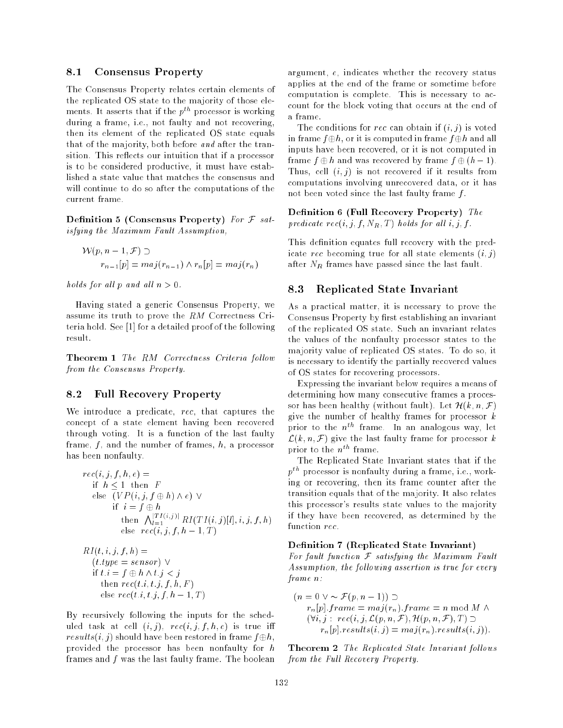# 8.1 Consensus Property

The Consensus Property relates certain elements of the replicated OS state to the majority of those elements. It asserts that if the  $p^{th}$  processor is working during a frame, i.e., not faulty and not recovering, then its element of the replicated OS state equals that of the majority, both before and after the transition. This reflects our intuition that if a processor is to be considered productive, it must have established a state value that matches the consensus and will continue to do so after the computations of the current frame.

Denition 5 (Consensus Property) For <sup>F</sup> satisfying the Maximum Fault Assumption,

$$
\mathcal{W}(p, n-1, \mathcal{F}) \supset
$$
  

$$
r_{n-1}[p] = maj(r_{n-1}) \wedge r_n[p] = maj(r_n)
$$

holds for all p and all  $n > 0$ .

Having stated a generic Consensus Property, we assume its truth to prove the RM Correctness Criteria hold. See [1] for a detailed proof of the following result.

**Theorem 1** The RM Correctness Criteria follow from the Consensus Property.

# 8.2 Full Recovery Property

We introduce a predicate, rec, that captures the concept of a state element having been recovered through voting. It is a function of the last faulty frame,  $f$ , and the number of frames,  $h$ , a processor has been nonfaulty.

$$
rec(i, j, f, h, e) =
$$
  
if  $h \le 1$  then  $F$   
else  $(VP(i, j, f \oplus h) \land e) \lor$   
if  $i = f \oplus h$   
then  $\bigwedge_{l=1}^{|TI(i,j)|} RI(TI(i, j)[l], i, j, f, h)$   
else  $rec(i, j, f, h - 1, T)$ 

$$
RI(t, i, j, f, h) =
$$
  
\n
$$
(t.\textit{type} = \textit{sensor}) \vee
$$
  
\nif  $t.i = f \oplus h \wedge t.j < j$   
\nthen  $rec(t.i, t.j, f, h, F)$   
\nelse  $rec(t.i, t.j, f, h - 1, T)$ 

By recursively following the inputs for the scheduled task at cell  $(i, j)$ ,  $rec(i, j, f, h, e)$  is true iff results $(i, j)$  should have been restored in frame  $f \oplus h$ , provided the processor has been nonfaulty for h frames and f was the last faulty frame. The boolean

argument, e, indicates whether the recovery status applies at the end of the frame or sometime before computation is complete. This is necessary to account for the block voting that occurs at the end of a frame.

The conditions for rec can obtain if  $(i, j)$  is voted in frame  $f \oplus h$ , or it is computed in frame  $f \oplus h$  and all inputs have been recovered, or it is not computed in frame  $f \oplus h$  and was recovered by frame  $f \oplus (h-1)$ . Thus, cell  $(i, j)$  is not recovered if it results from computations involving unrecovered data, or it has not been voted since the last faulty frame  $f$ .

### Denition 6 (Full Recovery Property) The predicate  $rec(i, j, f, N_R, T)$  holds for all  $i, j, f$ .

This definition equates full recovery with the predicate rec becoming true for all state elements  $(i, j)$ after  $N_R$  frames have passed since the last fault.

### 8.3 Replicated State Invariant

As a practical matter, it is necessary to prove the Consensus Property by first establishing an invariant of the replicated OS state. Such an invariant relates the values of the nonfaulty processor states to the majority value of replicated OS states. To do so, it is necessary to identify the partially recovered values of OS states for recovering processors.

Expressing the invariant below requires a means of determining how many consecutive frames a processor has been healthy (without fault). Let  $\mathcal{H}(k,n,\mathcal{F})$ give the number of healthy frames for processor  $k$ prior to the  $n^{th}$  frame. In an analogous way, let  $\mathcal{L}(k, n, \mathcal{F})$  give the last faulty frame for processor k prior to the  $n^{th}$  frame.

The Replicated State Invariant states that if the  $p^{\ldots}$  processor is nonfaulty during a frame, i.e., working or recovering, then its frame counter after the transition equals that of the majority. It also relates this processor's results state values to the majority if they have been recovered, as determined by the function rec.

### Denition 7 (Replicated State Invariant)

For fault function <sup>F</sup> satisfying the Maximum Fault Assumption, the fol lowing assertion is true for every frame n:

$$
(n = 0 \lor \sim \mathcal{F}(p, n - 1)) \supset
$$
  
\n
$$
r_n[p].frame = maj(r_n).frame = n \mod M \land
$$
  
\n
$$
(\forall i, j : rec(i, j, \mathcal{L}(p, n, \mathcal{F}), \mathcal{H}(p, n, \mathcal{F}), T) \supset
$$
  
\n
$$
r_n[p].results(i, j) = maj(r_n).results(i, j)).
$$

Theorem 2 The Replicated State Invariant fol lows from the Full Recovery Property.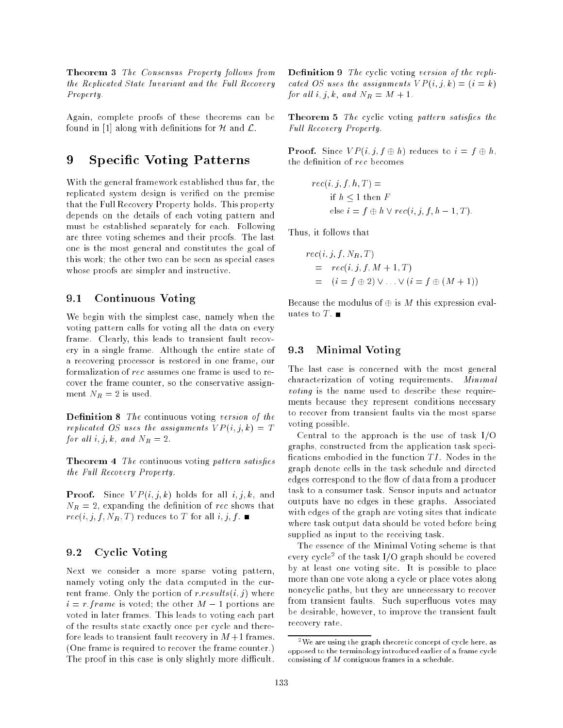Theorem 3 The Consensus Property fol lows from the Replicated State Invariant and the Full Recovery Property.

Again, complete proofs of these theorems can be found in [1] along with definitions for H and  $\mathcal{L}$ .

#### 9 **Specific Voting Patterns**

With the general framework established thus far, the replicated system design is veried on the premise that the Full Recovery Property holds. This property depends on the details of each voting pattern and must be established separately for each. Following are three voting schemes and their proofs. The last one is the most general and constitutes the goal of this work; the other two can be seen as special cases whose proofs are simpler and instructive.

# 9.1 Continuous Voting

We begin with the simplest case, namely when the voting pattern calls for voting all the data on every frame. Clearly, this leads to transient fault recovery in a single frame. Although the entire state of a recovering processor is restored in one frame, our formalization of rec assumes one frame is used to recover the frame counter, so the conservative assignment  $N_R = 2$  is used.

Denition 8 The continuous voting version of the replicated OS uses the assignments  $VP(i, j, k) = T$ for all  $i, j, k,$  and  $N_R = 2$ .

Theorem 4 The continuous voting pattern satises the Full Recovery Property.

**Proof.** Since  $VP(i, j, k)$  holds for all  $i, j, k$ , and  $N_R = 2$ , expanding the definition of rec shows that  $rec(i, j, f, N_R, T)$  reduces to T for all  $i, j, f$ .

#### $9.2$ Cyclic Voting

Next we consider a more sparse voting pattern, namely voting only the data computed in the current frame. Only the portion of r:results $(i, j)$  where  $i = r$  frame is voted; the other  $M - 1$  portions are voted in later frames. This leads to voting each part of the results state exactly once per cycle and therefore leads to transient fault recovery in  $M+1$  frames. (One frame is required to recover the frame counter.) The proof in this case is only slightly more difficult.

Denition 9 The cyclic voting version of the replicated OS uses the assignments  $VP(i, j, k) = (i = k)$ for all  $i, j, k,$  and  $N_R = M + 1$ .

Theorem 5 The cyclic voting pattern satises the Full Recovery Property.

**Proof.** Since  $VP(i,j,f\oplus h)$  reduces to  $i=f\oplus h,$ the definition of rec becomes

$$
rec(i, j, f, h, T) =
$$
  
if  $h \le 1$  then F  
else  $i = f \oplus h \vee rec(i, j, f, h - 1, T)$ .

Thus, it follows that

$$
rec(i, j, f, NR, T)
$$
  
=  $rec(i, j, f, M + 1, T)$   
=  $(i = f \oplus 2) \vee ... \vee (i = f \oplus (M + 1))$ 

Because the modulus of  $\oplus$  is  $M$  this expression evaluates to  $T$ .  $\blacksquare$ 

## 9.3 Minimal Voting

The last case is concerned with the most general characterization of voting requirements. Minimal voting is the name used to describe these requirements because they represent conditions necessary to recover from transient faults via the most sparse voting possible.

Central to the approach is the use of task I/O graphs, constructed from the application task speci fications embodied in the function  $TI$ . Nodes in the graph denote cells in the task schedule and directed edges correspond to the flow of data from a producer task to a consumer task. Sensor inputs and actuator outputs have no edges in these graphs. Associated with edges of the graph are voting sites that indicate where task output data should be voted before being supplied as input to the receiving task.

The essence of the Minimal Voting scheme is that every cycle<sup>2</sup> of the task I/O graph should be covered by at least one voting site. It is possible to place more than one vote along a cycle or place votes along noncyclic paths, but they are unnecessary to recover from transient faults. Such superfluous votes may be desirable, however, to improve the transient fault recovery rate.

<sup>2</sup>We are using the graph theoretic concept of cycle here, as opposed to the terminology introduced earlier of a frame cycle consisting of  $M$  contiguous frames in a schedule.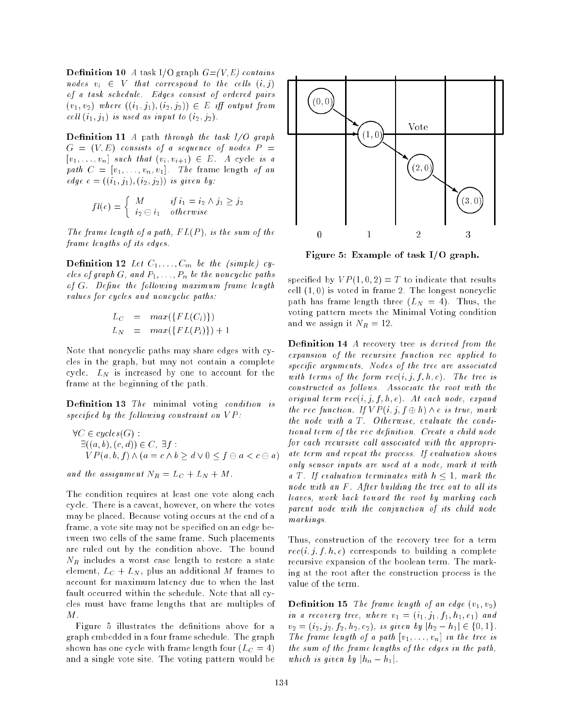$\blacksquare$  -------  $\blacksquare$  -  $\blacksquare$  -  $\blacksquare$  -  $\blacksquare$  -  $\blacksquare$  -  $\blacksquare$  -  $\blacksquare$  -  $\blacksquare$  -  $\blacksquare$  -  $\blacksquare$  -  $\blacksquare$  -  $\blacksquare$  -  $\blacksquare$  -  $\blacksquare$  -  $\blacksquare$  -  $\blacksquare$  -  $\blacksquare$  -  $\blacksquare$  -  $\blacksquare$  -  $\blacksquare$  -  $\blacksquare$  -  $\blacksquare$  -  $\blacksquare$  nodes  $v_i \in V$  that correspond to the cells  $(i, j)$ of a task schedule. Edges consist of ordered pairs  $(v_1, v_2)$  where  $((i_1, j_1), (i_2, j_2)) \in E$  iff output from cell  $(i_1, j_1)$  is used as input to  $(i_2, j_2)$ .

Denition 11 A path through the task I/O graph  $G = (V, E)$  consists of a sequence of nodes  $P =$  $[v_1, \ldots, v_n]$  such that  $(v_i, v_{i+1}) \in E$ . A cycle is a path  $C = [v_1, \ldots, v_n, v_1]$ . The frame length of an edge  $e = ((i_1, j_1), (i_2, j_2))$  is given by:

$$
fl(e) = \begin{cases} M & if i_1 = i_2 \wedge j_1 \geq j_2 \\ i_2 \ominus i_1 & otherwise \end{cases}
$$

The frame length of a path,  $FL(P)$ , is the sum of the frame lengths of its edges.

**Definition 12** Let  $C_1, \ldots, C_m$  be the (simple) cycles of graph  $G$ , and  $P_1, \ldots, P_n$  be the noncyclic paths of  $G$ . Define the following maximum frame length values for cycles and noncyclic paths:

$$
L_C = max({F L (C_i)})
$$
  
\n
$$
L_N = max({F L (P_i)}) + 1
$$

Note that noncyclic paths may share edges with cycles in the graph, but may not contain a complete cycle.  $L_N$  is increased by one to account for the frame at the beginning of the path.

Denition 13 The minimal voting condition is specified by the following constraint on  $VP$ :

$$
\forall C \in cycles(G) : \exists ((a, b), (c, d)) \in C, \exists f : \newline VP(a, b, f) \land (a = c \land b \ge d \lor 0 \le f \ominus a < c \ominus a)
$$

and the assignment  $N_R = L_C + L_N + M$ .

The condition requires at least one vote along each cycle. There is a caveat, however, on where the votes may be placed. Because voting occurs at the end of a frame, a vote site may not be specied on an edge between two cells of the same frame. Such placements are ruled out by the condition above. The bound  $N_R$  includes a worst case length to restore a state element,  $L_C + L_N$ , plus an additional M frames to account for maximum latency due to when the last fault occurred within the schedule. Note that all cycles must have frame lengths that are multiples of  $M$ .

Figure 5 illustrates the definitions above for a graph embedded in a four frame schedule. The graph shown has one cycle with frame length four  $(L<sub>C</sub> = 4)$ and a single vote site. The voting pattern would be



Figure 5: Example of task I/O graph.

specified by  $VP(1, 0, 2) = T$  to indicate that results cell (1; 0) is voted in frame 2. The longest noncyclic path has frame length three  $(L_N = 4)$ . Thus, the voting pattern meets the Minimal Voting condition and we assign it  $N_R = 12$ .

Denition 14 A recovery tree is derived from the expansion of the recursive function rec applied to specic arguments. Nodes of the tree are associated with terms of the form  $rec(i, j, f, h, e)$ . The tree is constructed as follows. Associate the root with the original term  $rec(i, j, f, h, e)$ . At each node, expand the rec function. If  $VP(i, j, f \oplus h) \wedge e$  is true, mark the node with a T. Otherwise, evaluate the conditional term of the rec denition. Create a child node for each recursive call associated with the appropriate term and repeat the process. If evaluation shows only sensor inputs are used at a node, mark it with a T. If evaluation terminates with  $h \leq 1$ , mark the node with an F. After building the tree out to all its leaves, work back toward the root by marking each parent node with the conjunction of its child node markings.

Thus, construction of the recovery tree for a term  $rec(i, j, f, h, e)$  corresponds to building a complete recursive expansion of the boolean term. The marking at the root after the construction process is the value of the term.

**Dennition 15** The frame length of an eage  $(v_1, v_2)$ in a recovery tree, where  $v_1 = (i_1, j_1, f_1, h_1, e_1)$  and  $v_2 = (i_2, j_2, f_2, h_2, e_2), \; \textit{is given by} \; |h_2 - h_1| \in \{0, 1\}.$ The frame length of a path  $[v_1, \ldots, v_n]$  in the tree is the sum of the frame lengths of the edges in the path, which is given by  $|h_n - h_1|$ .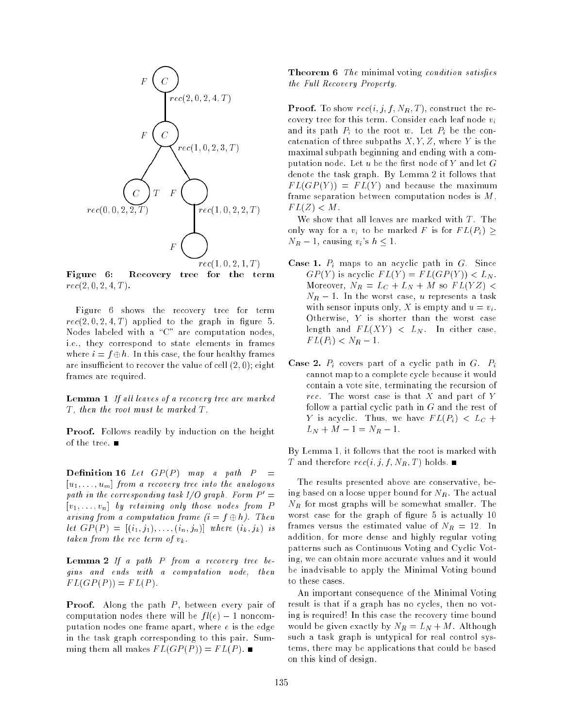

Figure 6: Recovery tree for the term  $rec(2, 0, 2, 4, T)$ .

Figure 6 shows the recovery tree for term  $rec(2, 0, 2, 4, T)$  applied to the graph in figure 5. Nodes labeled with a " $C$ " are computation nodes, i.e., they correspond to state elements in frames where  $i = f \oplus h$ . In this case, the four healthy frames are insufficient to recover the value of cell  $(2,0)$ ; eight frames are required.

Lemma 1 If al l leaves of a recovery tree are marked  $T$ , then the root must be marked  $T$ .

Proof. Follows readily by induction on the height of the tree. ■

**Definition 16** Let  $GP(P)$  map a path  $P =$  $[u_1, \ldots, u_m]$  from a recovery tree into the analogous path in the corresponding task  $I/O$  graph. Form  $P' =$  $[v_1, \ldots, v_n]$  by retaining only those nodes from P arising from a computation frame  $(i = f \oplus h)$ . Then let  $GP(P) = [(i_1, j_1), \ldots, (i_n, j_n)]$  where  $(i_k, j_k)$  is taken from the rec term of  $v_k$ .

Lemma 2 If a path P from a recovery tree begins and ends with a computation node, then  $FL(GP(P)) = FL(P).$ 

**Proof.** Along the path  $P$ , between every pair of computation nodes there will be  $fl(e) - 1$  noncomputation nodes one frame apart, where  $e$  is the edge in the task graph corresponding to this pair. Summing them all makes  $FL(GP(P)) = FL(P)$ .

Theorem 6 The minimal voting condition satises the Full Recovery Property.

**Proof.** To show  $rec(i, j, f, N_R, T)$ , construct the recovery tree for this term. Consider each leaf node  $v_i$ and its path  $P_i$  to the root w. Let  $P_i$  be the concatenation of three subpaths  $X, Y, Z$ , where Y is the maximal subpath beginning and ending with a computation node. Let u be the first node of Y and let  $G$ denote the task graph. By Lemma 2 it follows that  $FL(GP(Y)) = FL(Y)$  and because the maximum frame separation between computation nodes is  $M,$  $FL(Z) < M$ .

We show that all leaves are marked with  $T$ . The only way for a  $v_i$  to be marked F is for  $FL(P_i) \ge$  $N_R - 1$ , causing  $v_i$ 's  $h \leq 1$ .

- **Case 1.**  $P_i$  maps to an acyclic path in  $G$ . Since  $GP(Y)$  is acyclic  $FL(Y) = FL(GP(Y)) < L_N$ . Moreover,  $N_R = L_C + L_N + M$  so  $FL(YZ)$  <  $N_R - 1$ . In the worst case, u represents a task with sensor inputs only, X is empty and  $u = v_i$ . Otherwise, Y is shorter than the worst case length and  $FL(XY) < L_N$ . In either case,  $FL(P_i) < N_R - 1.$
- **Case 2.**  $P_i$  covers part of a cyclic path in  $G$ .  $P_i$ cannot map to a complete cycle because it would contain a vote site, terminating the recursion of rec. The worst case is that X and part of Y follow a partial cyclic path in  $G$  and the rest of Y is acyclic. Thus, we have  $FL(P_i) < L_C$  +  $L_N + M - 1 = N_R - 1.$

By Lemma 1, it follows that the root is marked with T and therefore  $rec(i, j, f, N_R, T)$  holds.

The results presented above are conservative, being based on a loose upper bound for  $N_R$ . The actual  $N_R$  for most graphs will be somewhat smaller. The worst case for the graph of figure 5 is actually 10 frames versus the estimated value of  $N_R = 12$ . In addition, for more dense and highly regular voting patterns such as Continuous Voting and Cyclic Voting, we can obtain more accurate values and it would be inadvisable to apply the Minimal Voting bound to these cases.

An important consequence of the Minimal Voting result is that if a graph has no cycles, then no voting is required! In this case the recovery time bound would be given exactly by  $N_R = L_N + M$ . Although such a task graph is untypical for real control systems, there may be applications that could be based on this kind of design.